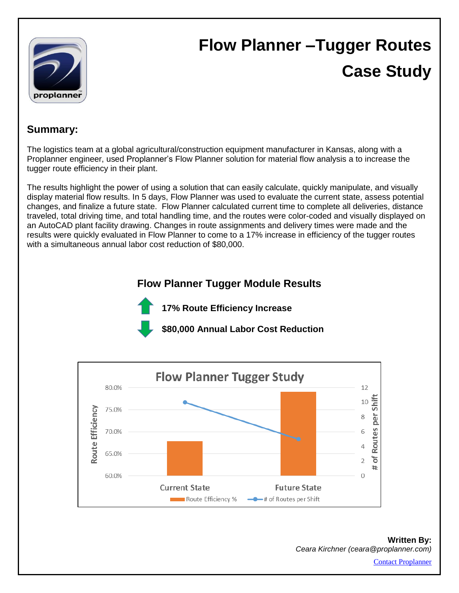

# **Flow Planner –Tugger Routes Case Study**

### **Summary:**

The logistics team at a global agricultural/construction equipment manufacturer in Kansas, along with a Proplanner engineer, used Proplanner's Flow Planner solution for material flow analysis a to increase the tugger route efficiency in their plant.

The results highlight the power of using a solution that can easily calculate, quickly manipulate, and visually display material flow results. In 5 days, Flow Planner was used to evaluate the current state, assess potential changes, and finalize a future state. Flow Planner calculated current time to complete all deliveries, distance traveled, total driving time, and total handling time, and the routes were color-coded and visually displayed on an AutoCAD plant facility drawing. Changes in route assignments and delivery times were made and the results were quickly evaluated in Flow Planner to come to a 17% increase in efficiency of the tugger routes with a simultaneous annual labor cost reduction of \$80,000.

# **Flow Planner Tugger Module Results**



**17% Route Efficiency Increase**

**\$80,000 Annual Labor Cost Reduction**